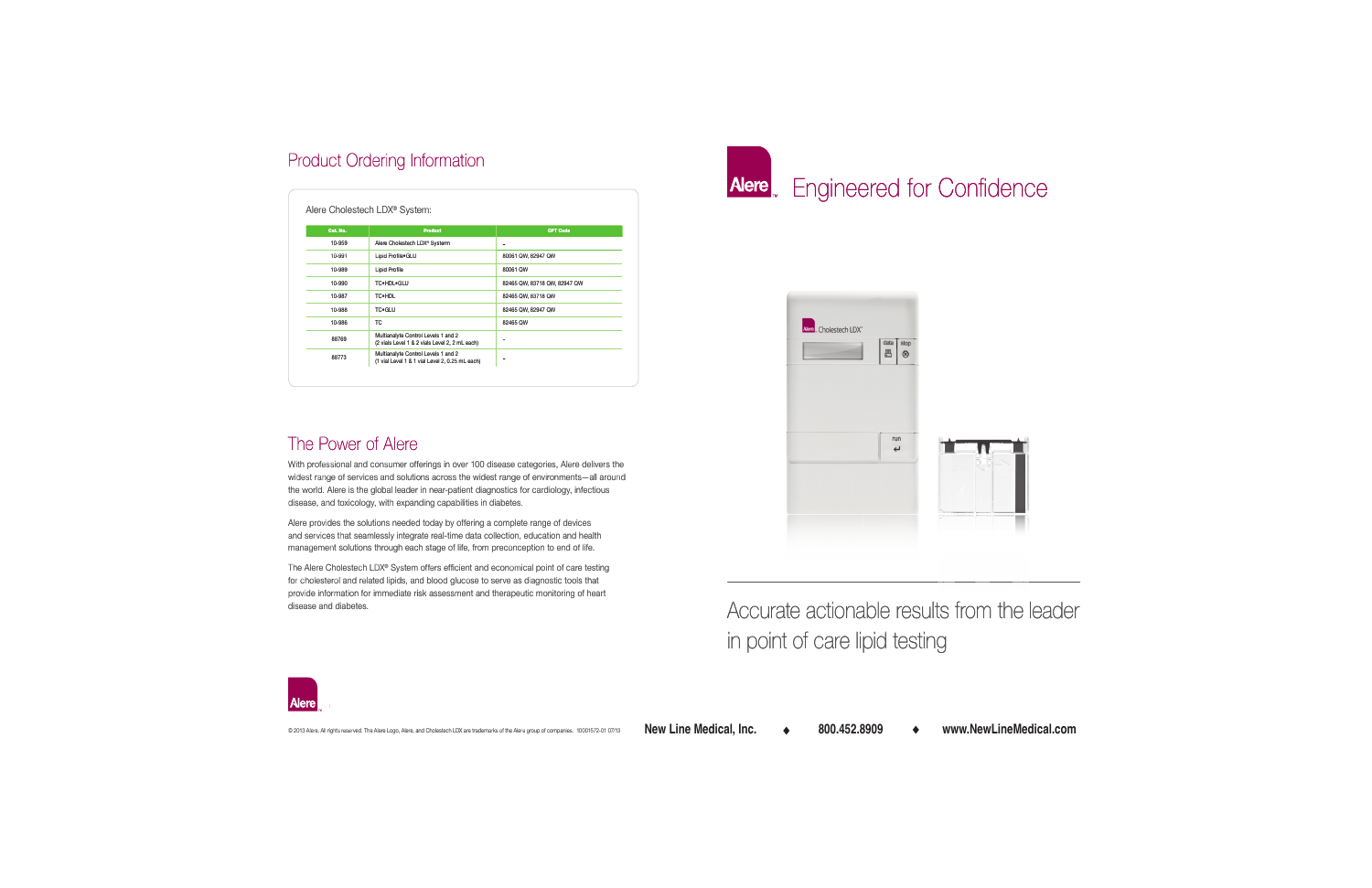### Product Ordering Information

|          | Product Ordering Information                                                                                                                                                                                                                                       |                                                                                                                                                                                          |  |                                   |
|----------|--------------------------------------------------------------------------------------------------------------------------------------------------------------------------------------------------------------------------------------------------------------------|------------------------------------------------------------------------------------------------------------------------------------------------------------------------------------------|--|-----------------------------------|
|          | Alere Cholestech LDX® System:                                                                                                                                                                                                                                      |                                                                                                                                                                                          |  | Alere Enginee                     |
| Cat. No. | <b>Product</b>                                                                                                                                                                                                                                                     | <b>CPT Code</b>                                                                                                                                                                          |  |                                   |
| 10-959   | Alere Cholestech LDX® Systerm                                                                                                                                                                                                                                      |                                                                                                                                                                                          |  |                                   |
| 10-991   | Lipid Profile GLU                                                                                                                                                                                                                                                  | 80061 QW, 82947 QW                                                                                                                                                                       |  |                                   |
| 10-989   | Lipid Profile                                                                                                                                                                                                                                                      | 80061 QW                                                                                                                                                                                 |  |                                   |
| 10-990   | TC.HDL.GLU                                                                                                                                                                                                                                                         | 82465 QW, 83718 QW, 82947 QW                                                                                                                                                             |  |                                   |
| 10-987   | <b>TC</b> ·HDL                                                                                                                                                                                                                                                     | 82465 QW, 83718 QW                                                                                                                                                                       |  |                                   |
| 10-988   | TC.GLU                                                                                                                                                                                                                                                             | 82465 QW, 82947 QW                                                                                                                                                                       |  |                                   |
| 10-986   | <b>TC</b>                                                                                                                                                                                                                                                          | 82465 QW                                                                                                                                                                                 |  | Alere Cholestech LDX <sup>®</sup> |
| 88769    | Multianalyte Control Levels 1 and 2<br>(2 vials Level 1 & 2 vials Level 2, 2 mL each)                                                                                                                                                                              |                                                                                                                                                                                          |  |                                   |
| 88773    | Multianalyte Control Levels 1 and 2<br>(1 vial Level 1 & 1 vial Level 2, 0.25 mL each)                                                                                                                                                                             |                                                                                                                                                                                          |  |                                   |
|          |                                                                                                                                                                                                                                                                    |                                                                                                                                                                                          |  |                                   |
|          | The Power of Alere                                                                                                                                                                                                                                                 |                                                                                                                                                                                          |  |                                   |
|          | the world. Alere is the global leader in near-patient diagnostics for cardiology, infectious<br>disease, and toxicology, with expanding capabilities in diabetes.                                                                                                  | With professional and consumer offerings in over 100 disease categories, Alere delivers the<br>widest range of services and solutions across the widest range of environments—all around |  |                                   |
|          | Alere provides the solutions needed today by offering a complete range of devices<br>and services that seamlessly integrate real-time data collection, education and health<br>management solutions through each stage of life, from preconception to end of life. |                                                                                                                                                                                          |  |                                   |
|          | The Alere Cholestech LDX® System offers efficient and economical point of care testing<br>for cholesterol and related lipids, and blood glucose to serve as diagnostic tools that                                                                                  |                                                                                                                                                                                          |  |                                   |

disease and diabetes. and

© 2013 Alere. All rights reserved. The Alere Logo, Alere, and Cholestech LDX are trademarks of the Alere group of companies. 10001572-01 07/13

and services that seamlessly integrate real-time data collection, education and health management solutions through each stage of life, from preconception to end of life. The Alere Cholestech LDX® System offers efficient and economical point of care testing for cholesterol and related lipids, and blood glucose to serve as diagnostic tools that provide information for immediate risk assessment and therapeutic monitoring of heart

Cholestech LDX® System offers efficient and econ<br>erol and related lipids, and blood glucose to serve<br>ormation for immediate risk assessment and thera<br>d diabetes.

# Engineered for Confidence



Accurate actionable results from the leader<br>in point of care lipid testing in point of care lipid testing



72-01 **New Line Medical, Inc. 800.452.8909 www.NewLineMedical.com**